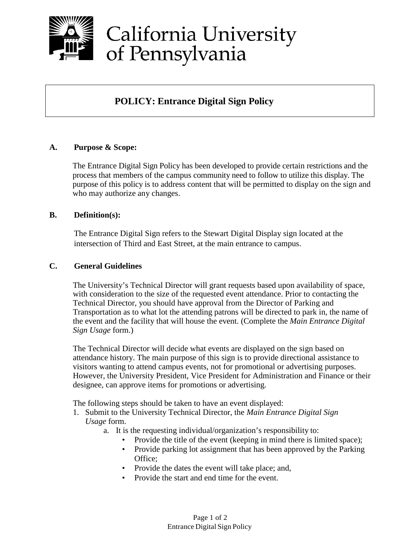

# California University of Pennsylvania

### **POLICY: Entrance Digital Sign Policy**

#### **A. Purpose & Scope:**

The Entrance Digital Sign Policy has been developed to provide certain restrictions and the process that members of the campus community need to follow to utilize this display. The purpose of this policy is to address content that will be permitted to display on the sign and who may authorize any changes.

#### **B. Definition(s):**

The Entrance Digital Sign refers to the Stewart Digital Display sign located at the intersection of Third and East Street, at the main entrance to campus.

#### **C. General Guidelines**

The University's Technical Director will grant requests based upon availability of space, with consideration to the size of the requested event attendance. Prior to contacting the Technical Director, you should have approval from the Director of Parking and Transportation as to what lot the attending patrons will be directed to park in, the name of the event and the facility that will house the event. (Complete the *Main Entrance Digital Sign Usage* form.)

The Technical Director will decide what events are displayed on the sign based on attendance history. The main purpose of this sign is to provide directional assistance to visitors wanting to attend campus events, not for promotional or advertising purposes. However, the University President, Vice President for Administration and Finance or their designee, can approve items for promotions or advertising.

The following steps should be taken to have an event displayed:

- 1. Submit to the University Technical Director, the *Main Entrance Digital Sign Usage* form.
	- a. It is the requesting individual/organization's responsibility to:
		- Provide the title of the event (keeping in mind there is limited space);
		- Provide parking lot assignment that has been approved by the Parking Office;
		- Provide the dates the event will take place; and,
		- Provide the start and end time for the event.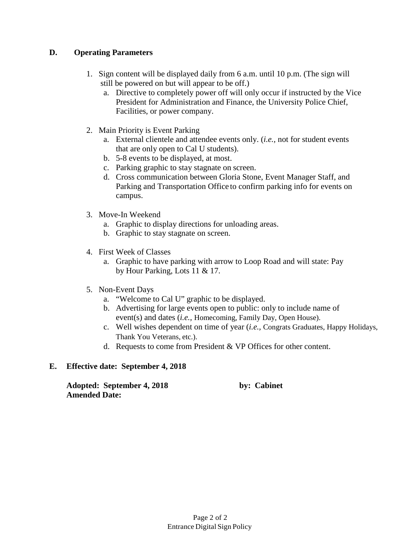#### **D. Operating Parameters**

- 1. Sign content will be displayed daily from 6 a.m. until 10 p.m. (The sign will still be powered on but will appear to be off.)
	- a. Directive to completely power off will only occur if instructed by the Vice President for Administration and Finance, the University Police Chief, Facilities, or power company.
- 2. Main Priority is Event Parking
	- a. External clientele and attendee events only. (*i.e.,* not for student events that are only open to Cal U students).
	- b. 5-8 events to be displayed, at most.
	- c. Parking graphic to stay stagnate on screen.
	- d. Cross communication between Gloria Stone, Event Manager Staff, and Parking and Transportation Office to confirm parking info for events on campus.
- 3. Move-In Weekend
	- a. Graphic to display directions for unloading areas.
	- b. Graphic to stay stagnate on screen.
- 4. First Week of Classes
	- a. Graphic to have parking with arrow to Loop Road and will state: Pay by Hour Parking, Lots 11 & 17.
- 5. Non-Event Days
	- a. "Welcome to Cal U" graphic to be displayed.
	- b. Advertising for large events open to public: only to include name of event(s) and dates (*i.e.,* Homecoming, Family Day, Open House).
	- c. Well wishes dependent on time of year (*i.e.,* Congrats Graduates, Happy Holidays, Thank You Veterans, etc.).
	- d. Requests to come from President & VP Offices for other content.

#### **E. Effective date: September 4, 2018**

**Adopted: September 4, 2018 by: Cabinet Amended Date:**